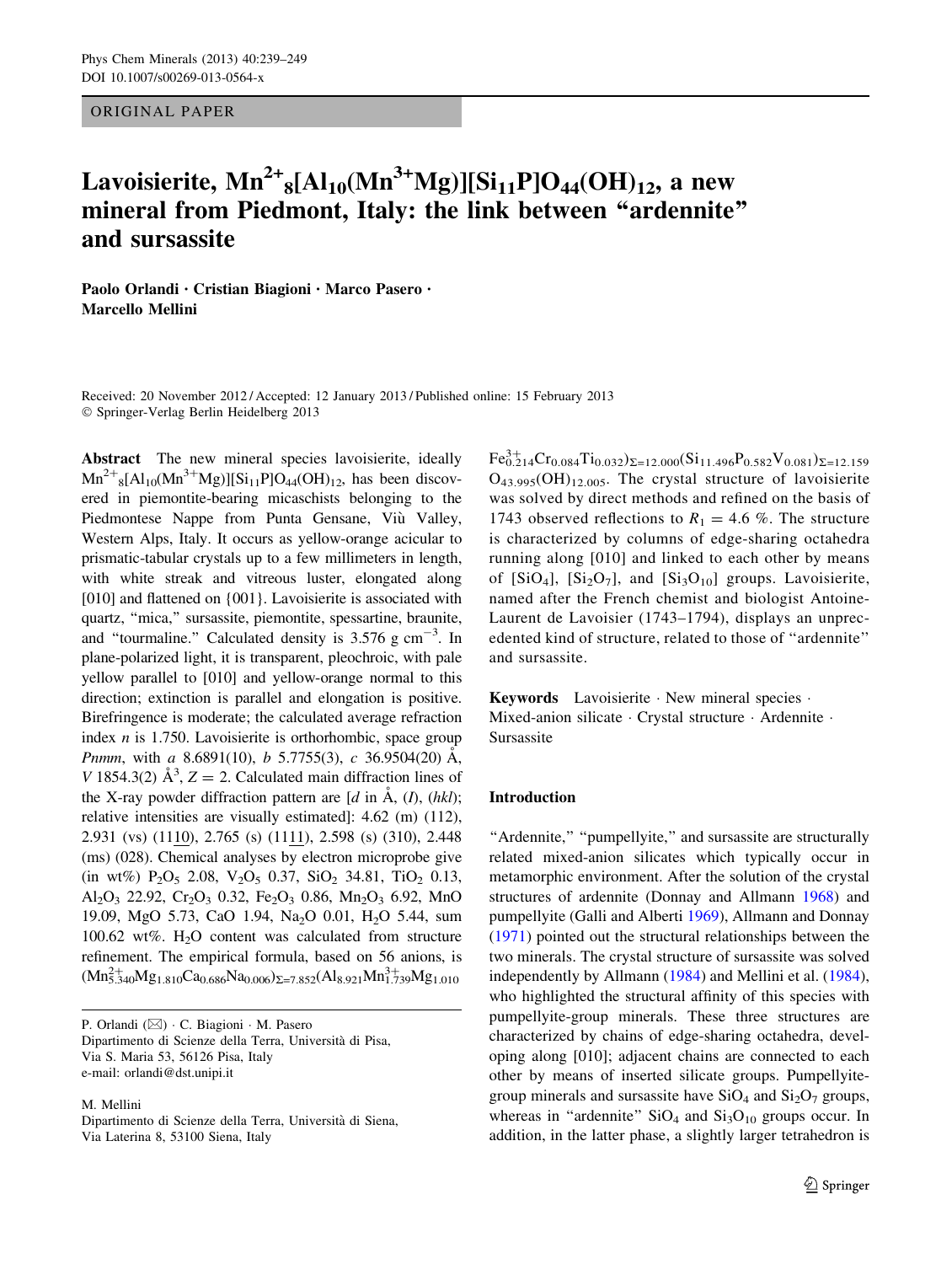ORIGINAL PAPER

# Lavoisierite,  $\mathbf{Mn}^{2+}{}_8[\text{Al}_{10}(\text{Mn}^{3+}\text{Mg})][\text{Si}_{11}\text{P}]\text{O}_{44}(\text{OH})_{12}$ , a new mineral from Piedmont, Italy: the link between ''ardennite'' and sursassite

Paolo Orlandi • Cristian Biagioni • Marco Pasero • Marcello Mellini

Received: 20 November 2012 / Accepted: 12 January 2013 / Published online: 15 February 2013  $©$  Springer-Verlag Berlin Heidelberg 2013

Abstract The new mineral species lavoisierite, ideally  $Mn^{2+}{}_{8}[Al_{10}(Mn^{3+}Mg)][Si_{11}P]O_{44}(OH)_{12}$ , has been discovered in piemontite-bearing micaschists belonging to the Piedmontese Nappe from Punta Gensane, Viù Valley, Western Alps, Italy. It occurs as yellow-orange acicular to prismatic-tabular crystals up to a few millimeters in length, with white streak and vitreous luster, elongated along [010] and flattened on  ${001}$ . Lavoisierite is associated with quartz, ''mica,'' sursassite, piemontite, spessartine, braunite, and "tourmaline." Calculated density is  $3.576$  g cm<sup>-3</sup>. In plane-polarized light, it is transparent, pleochroic, with pale yellow parallel to [010] and yellow-orange normal to this direction; extinction is parallel and elongation is positive. Birefringence is moderate; the calculated average refraction index  $n$  is 1.750. Lavoisierite is orthorhombic, space group Pnmm, with a 8.6891(10),  $b$  5.7755(3),  $c$  36.9504(20)  $\dot{A}$ , V 1854.3(2)  $\mathring{A}^3$ , Z = 2. Calculated main diffraction lines of the X-ray powder diffraction pattern are  $[d \text{ in } A, (I), (hkl);$ relative intensities are visually estimated]: 4.62 (m) (112), 2.931 (vs) (1110), 2.765 (s) (1111), 2.598 (s) (310), 2.448 (ms) (028). Chemical analyses by electron microprobe give (in wt%)  $P_2O_5$  2.08,  $V_2O_5$  0.37,  $SiO_2$  34.81,  $TiO_2$  0.13, Al<sub>2</sub>O<sub>3</sub> 22.92, Cr<sub>2</sub>O<sub>3</sub> 0.32, Fe<sub>2</sub>O<sub>3</sub> 0.86, Mn<sub>2</sub>O<sub>3</sub> 6.92, MnO 19.09, MgO 5.73, CaO 1.94, Na<sub>2</sub>O 0.01, H<sub>2</sub>O 5.44, sum 100.62 wt%.  $H_2O$  content was calculated from structure refinement. The empirical formula, based on 56 anions, is  $(Mn_{5.340}^{2+}Mg_{1.810}Ca_{0.686}Na_{0.006})_{\Sigma=7.852}(Al_{8.921}Mn_{1.739}^{3+}Mg_{1.010}$ 

P. Orlandi ( $\boxtimes$ ) · C. Biagioni · M. Pasero Dipartimento di Scienze della Terra, Universita` di Pisa, Via S. Maria 53, 56126 Pisa, Italy e-mail: orlandi@dst.unipi.it

M. Mellini

Dipartimento di Scienze della Terra, Universita` di Siena, Via Laterina 8, 53100 Siena, Italy

 $\text{Fe}_{0.214}^{3+}\text{Cr}_{0.084}\text{Ti}_{0.032}\right)\Sigma=12.000(\text{Si}_{11.496}\text{P}_{0.582}\text{V}_{0.081})\Sigma=12.159$  $O_{43.995}(OH)_{12.005}$ . The crystal structure of lavoisierite was solved by direct methods and refined on the basis of 1743 observed reflections to  $R_1 = 4.6$  %. The structure is characterized by columns of edge-sharing octahedra running along [010] and linked to each other by means of  $[SiO_4]$ ,  $[Si_2O_7]$ , and  $[Si_3O_{10}]$  groups. Lavoisierite, named after the French chemist and biologist Antoine-Laurent de Lavoisier (1743–1794), displays an unprecedented kind of structure, related to those of ''ardennite'' and sursassite.

Keywords Lavoisierite · New mineral species · Mixed-anion silicate · Crystal structure · Ardennite · Sursassite

#### Introduction

"Ardennite," "pumpellyite," and sursassite are structurally related mixed-anion silicates which typically occur in metamorphic environment. After the solution of the crystal structures of ardennite (Donnay and Allmann [1968\)](#page-10-0) and pumpellyite (Galli and Alberti [1969](#page-10-0)), Allmann and Donnay [\(1971](#page-9-0)) pointed out the structural relationships between the two minerals. The crystal structure of sursassite was solved independently by Allmann ([1984\)](#page-9-0) and Mellini et al. [\(1984](#page-10-0)), who highlighted the structural affinity of this species with pumpellyite-group minerals. These three structures are characterized by chains of edge-sharing octahedra, developing along [010]; adjacent chains are connected to each other by means of inserted silicate groups. Pumpellyitegroup minerals and sursassite have  $SiO<sub>4</sub>$  and  $Si<sub>2</sub>O<sub>7</sub>$  groups, whereas in "ardennite"  $SiO<sub>4</sub>$  and  $Si<sub>3</sub>O<sub>10</sub>$  groups occur. In addition, in the latter phase, a slightly larger tetrahedron is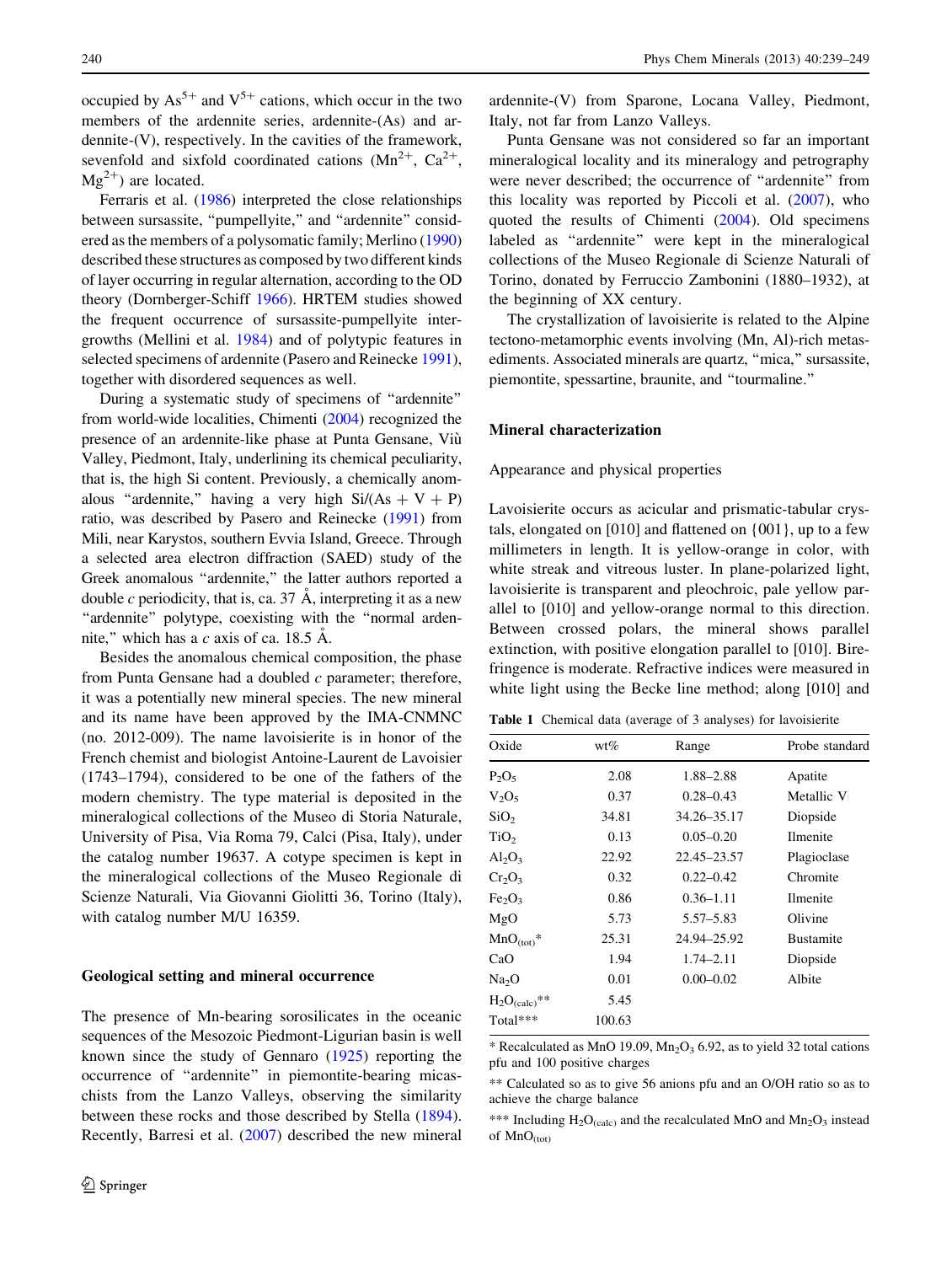<span id="page-1-0"></span>occupied by  $As^{5+}$  and  $V^{5+}$  cations, which occur in the two members of the ardennite series, ardennite-(As) and ardennite-(V), respectively. In the cavities of the framework, sevenfold and sixfold coordinated cations  $(Mn^{2+}, Ca^{2+},$  $Mg^{2+}$ ) are located.

Ferraris et al. ([1986](#page-10-0)) interpreted the close relationships between sursassite, "pumpellyite," and "ardennite" considered as the members of a polysomatic family; Merlino [\(1990\)](#page-10-0) described these structures as composed by two different kinds of layer occurring in regular alternation, according to the OD theory (Dornberger-Schiff [1966\)](#page-10-0). HRTEM studies showed the frequent occurrence of sursassite-pumpellyite intergrowths (Mellini et al. [1984](#page-10-0)) and of polytypic features in selected specimens of ardennite (Pasero and Reinecke [1991](#page-10-0)), together with disordered sequences as well.

During a systematic study of specimens of ''ardennite'' from world-wide localities, Chimenti [\(2004\)](#page-10-0) recognized the presence of an ardennite-like phase at Punta Gensane, Viù Valley, Piedmont, Italy, underlining its chemical peculiarity, that is, the high Si content. Previously, a chemically anomalous "ardennite," having a very high  $Si/(As + V + P)$ ratio, was described by Pasero and Reinecke [\(1991\)](#page-10-0) from Mili, near Karystos, southern Evvia Island, Greece. Through a selected area electron diffraction (SAED) study of the Greek anomalous ''ardennite,'' the latter authors reported a double c periodicity, that is, ca. 37  $\AA$ , interpreting it as a new "ardennite" polytype, coexisting with the "normal ardennite," which has a  $c$  axis of ca. 18.5  $\AA$ .

Besides the anomalous chemical composition, the phase from Punta Gensane had a doubled  $c$  parameter; therefore, it was a potentially new mineral species. The new mineral and its name have been approved by the IMA-CNMNC (no. 2012-009). The name lavoisierite is in honor of the French chemist and biologist Antoine-Laurent de Lavoisier (1743–1794), considered to be one of the fathers of the modern chemistry. The type material is deposited in the mineralogical collections of the Museo di Storia Naturale, University of Pisa, Via Roma 79, Calci (Pisa, Italy), under the catalog number 19637. A cotype specimen is kept in the mineralogical collections of the Museo Regionale di Scienze Naturali, Via Giovanni Giolitti 36, Torino (Italy), with catalog number M/U 16359.

#### Geological setting and mineral occurrence

The presence of Mn-bearing sorosilicates in the oceanic sequences of the Mesozoic Piedmont-Ligurian basin is well known since the study of Gennaro [\(1925](#page-10-0)) reporting the occurrence of ''ardennite'' in piemontite-bearing micaschists from the Lanzo Valleys, observing the similarity between these rocks and those described by Stella [\(1894](#page-10-0)). Recently, Barresi et al. [\(2007](#page-10-0)) described the new mineral

ardennite-(V) from Sparone, Locana Valley, Piedmont, Italy, not far from Lanzo Valleys.

Punta Gensane was not considered so far an important mineralogical locality and its mineralogy and petrography were never described; the occurrence of ''ardennite'' from this locality was reported by Piccoli et al. [\(2007](#page-10-0)), who quoted the results of Chimenti [\(2004](#page-10-0)). Old specimens labeled as ''ardennite'' were kept in the mineralogical collections of the Museo Regionale di Scienze Naturali of Torino, donated by Ferruccio Zambonini (1880–1932), at the beginning of XX century.

The crystallization of lavoisierite is related to the Alpine tectono-metamorphic events involving (Mn, Al)-rich metasediments. Associated minerals are quartz, ''mica,'' sursassite, piemontite, spessartine, braunite, and ''tourmaline.''

## Mineral characterization

Appearance and physical properties

Lavoisierite occurs as acicular and prismatic-tabular crystals, elongated on [010] and flattened on {001}, up to a few millimeters in length. It is yellow-orange in color, with white streak and vitreous luster. In plane-polarized light, lavoisierite is transparent and pleochroic, pale yellow parallel to [010] and yellow-orange normal to this direction. Between crossed polars, the mineral shows parallel extinction, with positive elongation parallel to [010]. Birefringence is moderate. Refractive indices were measured in white light using the Becke line method; along [010] and

Table 1 Chemical data (average of 3 analyses) for lavoisierite

| Oxide                          | wt%    | Range         | Probe standard   |
|--------------------------------|--------|---------------|------------------|
| $P_2O_5$                       | 2.08   | 1.88–2.88     | Apatite          |
| $V_2O_5$                       | 0.37   | $0.28 - 0.43$ | Metallic V       |
| SiO <sub>2</sub>               | 34.81  | 34.26–35.17   | Diopside         |
| TiO <sub>2</sub>               | 0.13   | $0.05 - 0.20$ | <b>Ilmenite</b>  |
| $Al_2O_3$                      | 22.92  | 22.45–23.57   | Plagioclase      |
| $Cr_2O_3$                      | 0.32   | $0.22 - 0.42$ | Chromite         |
| Fe <sub>2</sub> O <sub>3</sub> | 0.86   | $0.36 - 1.11$ | <b>Ilmenite</b>  |
| MgO                            | 5.73   | $5.57 - 5.83$ | Olivine          |
| $MnO_{(tot)}$ *                | 25.31  | 24.94–25.92   | <b>Bustamite</b> |
| CaO                            | 1.94   | $1.74 - 2.11$ | Diopside         |
| Na <sub>2</sub> O              | 0.01   | $0.00 - 0.02$ | Albite           |
| $H_2O_{(calc)}$ **             | 5.45   |               |                  |
| $Total***$                     | 100.63 |               |                  |
|                                |        |               |                  |

 $*$  Recalculated as MnO 19.09, Mn<sub>2</sub>O<sub>3</sub> 6.92, as to yield 32 total cations pfu and 100 positive charges

<sup>\*\*</sup> Calculated so as to give 56 anions pfu and an O/OH ratio so as to achieve the charge balance

<sup>\*\*\*</sup> Including  $H_2O_{\text{(calc)}}$  and the recalculated MnO and Mn<sub>2</sub>O<sub>3</sub> instead of  $MnO_{(tot)}$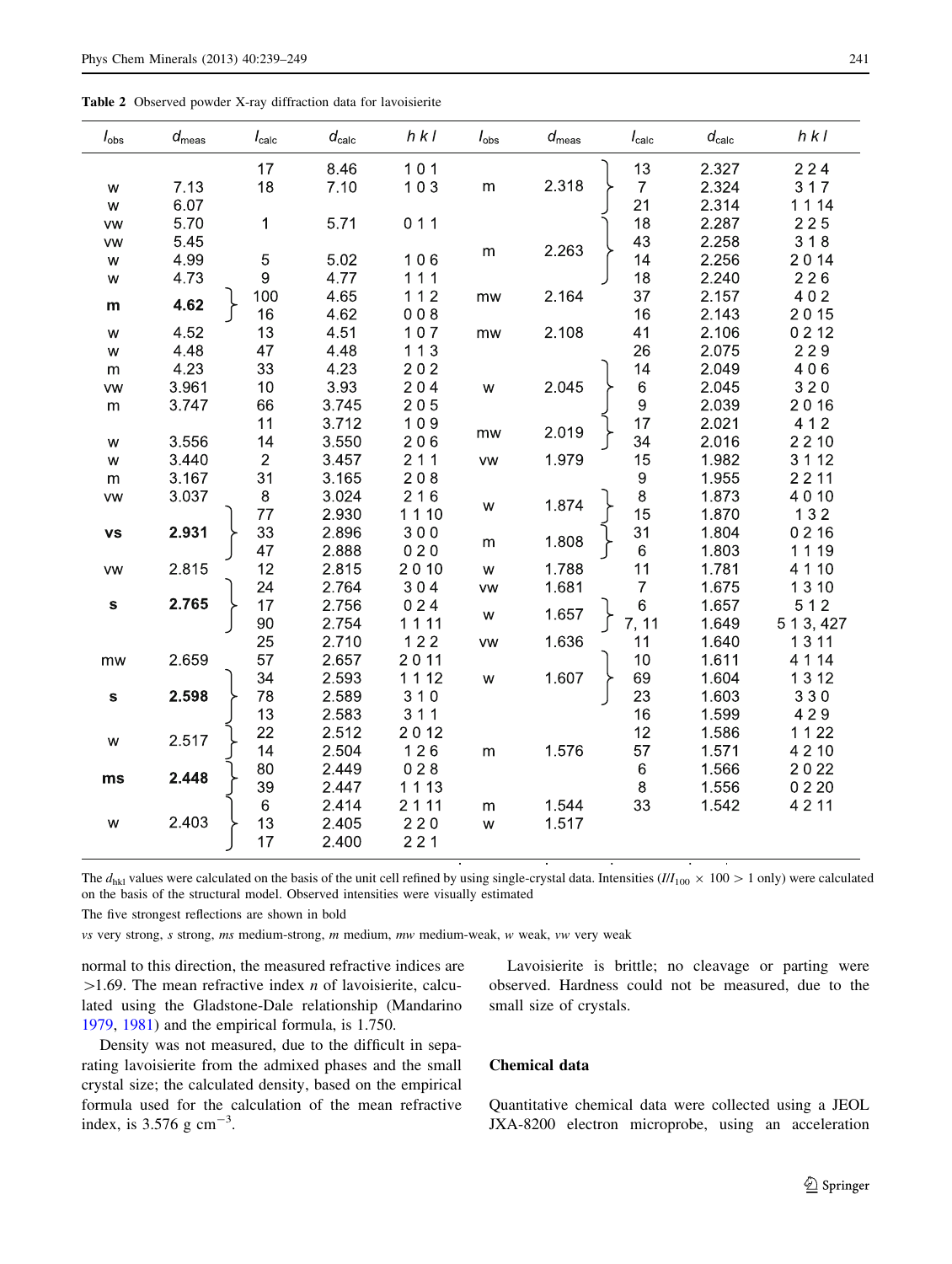<span id="page-2-0"></span>Table 2 Observed powder X-ray diffraction data for lavoisierite

| $I_{\rm obs}$ | $d_{\rm meas}$ | $I_{\rm calc}$   | $d_{\rm calc}$ | $h$ $k$ $l$ | $I_{\rm obs}$ | $d_{\text{meas}}$ | $I_{\rm calc}$   | $d_{\rm calc}$ | $h$ $k$ $l$ |
|---------------|----------------|------------------|----------------|-------------|---------------|-------------------|------------------|----------------|-------------|
|               |                | 17               | 8.46           | 101         |               |                   | 13               | 2.327          | 224         |
| w             | 7.13           | 18               | 7.10           | 103         | ${\sf m}$     | 2.318             | $\boldsymbol{7}$ | 2.324          | 317         |
| ${\sf W}$     | 6.07           |                  |                |             |               |                   | 21               | 2.314          | 1 1 1 4     |
| <b>VW</b>     | 5.70           | $\mathbf{1}$     | 5.71           | 011         |               |                   | 18               | 2.287          | 225         |
| VW            | 5.45           |                  |                |             | ${\sf m}$     | 2.263             | 43               | 2.258          | 318         |
| ${\mathsf W}$ | 4.99           | $\mathbf 5$      | 5.02           | 106         |               |                   | 14               | 2.256          | 2014        |
| W             | 4.73           | $\boldsymbol{9}$ | 4.77           | 111         |               |                   | 18               | 2.240          | 226         |
| ${\bf m}$     | 4.62           | 100              | 4.65           | $112$       | mw            | 2.164             | 37               | 2.157          | 402         |
|               |                | 16               | 4.62           | 008         |               |                   | 16               | 2.143          | 2015        |
| W             | 4.52           | 13               | 4.51           | $107$       | mw            | 2.108             | 41               | 2.106          | 0212        |
| ${\sf W}$     | 4.48           | 47               | 4.48           | 113         |               |                   | 26               | 2.075          | 229         |
| m             | 4.23           | 33               | 4.23           | 202         |               |                   | 14               | 2.049          | 406         |
| VW            | 3.961          | 10               | 3.93           | 204         | W             | 2.045             | $\,6$            | 2.045          | 320         |
| m             | 3.747          | 66               | 3.745          | 205         |               |                   | $\overline{9}$   | 2.039          | 2016        |
|               |                | 11               | 3.712          | 109         |               | 2.019             | 17               | 2.021          | 412         |
| W             | 3.556          | 14               | 3.550          | 206         | mw            |                   | 34               | 2.016          | 2210        |
| ${\sf W}$     | 3.440          | $\sqrt{2}$       | 3.457          | 211         | ${\sf VW}$    | 1.979             | 15               | 1.982          | 3 1 1 2     |
| m             | 3.167          | 31               | 3.165          | 208         |               |                   | $\boldsymbol{9}$ | 1.955          | 2211        |
| VW            | 3.037          | 8                | 3.024          | 216         | W             | 1.874             | $\,8\,$          | 1.873          | 4010        |
|               |                | 77               | 2.930          | 1110        |               |                   | 15               | 1.870          | 132         |
| <b>vs</b>     | 2.931          | 33               | 2.896          | 300         |               | 1.808             | 31               | 1.804          | 0216        |
|               |                | 47               | 2.888          | 020         | m             |                   | $\,$ 6 $\,$      | 1.803          | 1119        |
| <b>VW</b>     | 2.815          | 12               | 2.815          | 2010        | ${\sf W}$     | 1.788             | 11               | 1.781          | 4 1 10      |
|               |                | 24               | 2.764          | 304         | <b>VW</b>     | 1.681             | $\overline{7}$   | 1.675          | 1310        |
| ${\bf s}$     | 2.765          | 17               | 2.756          | 024         | ${\mathsf W}$ | 1.657             | $\,6$            | 1.657          | 512         |
|               |                | 90               | 2.754          | 1111        |               |                   | 7, 11            | 1.649          | 5 1 3, 427  |
|               |                | 25               | 2.710          | $122$       | VW            | 1.636             | 11               | 1.640          | 1311        |
| mw            | 2.659          | 57               | 2.657          | 2011        |               |                   | 10               | 1.611          | 4 1 14      |
|               |                | 34               | 2.593          | 1112        | ${\sf W}$     | 1.607             | 69               | 1.604          | 1312        |
| $\mathbf s$   | 2.598          | 78               | 2.589          | 310         |               |                   | 23               | 1.603          | 330         |
|               |                | 13               | 2.583          | 311         |               |                   | 16               | 1.599          | 429         |
| W             | 2.517          | 22               | 2.512          | 2012        |               |                   | 12               | 1.586          | 1122        |
|               |                | 14               | 2.504          | 126         | ${\sf m}$     | 1.576             | 57               | 1.571          | 4 2 10      |
| ms            | 2.448          | 80               | 2.449          | 028         |               |                   | $\,6$            | 1.566          | 2022        |
|               |                | 39               | 2.447          | 1 1 1 3     |               |                   | $\,8\,$          | 1.556          | 0220        |
|               |                | 6                | 2.414          | 2111        | m             | 1.544             | 33               | 1.542          | 4211        |
| W             | 2.403          | 13               | 2.405          | 220         | W             | 1.517             |                  |                |             |
|               |                | 17               | 2.400          | 221         |               |                   |                  |                |             |

The  $d_{hkl}$  values were calculated on the basis of the unit cell refined by using single-crystal data. Intensities ( $III_{100} \times 100 > 1$  only) were calculated on the basis of the structural model. Observed intensities were visually estimated

The five strongest reflections are shown in bold

vs very strong,  $s$  strong,  $ms$  medium-strong,  $m$  medium,  $mw$  medium-weak,  $w$  weak,  $vw$  very weak

normal to this direction, the measured refractive indices are  $>1.69$ . The mean refractive index *n* of lavoisierite, calculated using the Gladstone-Dale relationship (Mandarino [1979,](#page-10-0) [1981](#page-10-0)) and the empirical formula, is 1.750.

Density was not measured, due to the difficult in separating lavoisierite from the admixed phases and the small crystal size; the calculated density, based on the empirical formula used for the calculation of the mean refractive index, is  $3.576$  g cm<sup>-3</sup>.

Lavoisierite is brittle; no cleavage or parting were observed. Hardness could not be measured, due to the small size of crystals.

# Chemical data

Quantitative chemical data were collected using a JEOL JXA-8200 electron microprobe, using an acceleration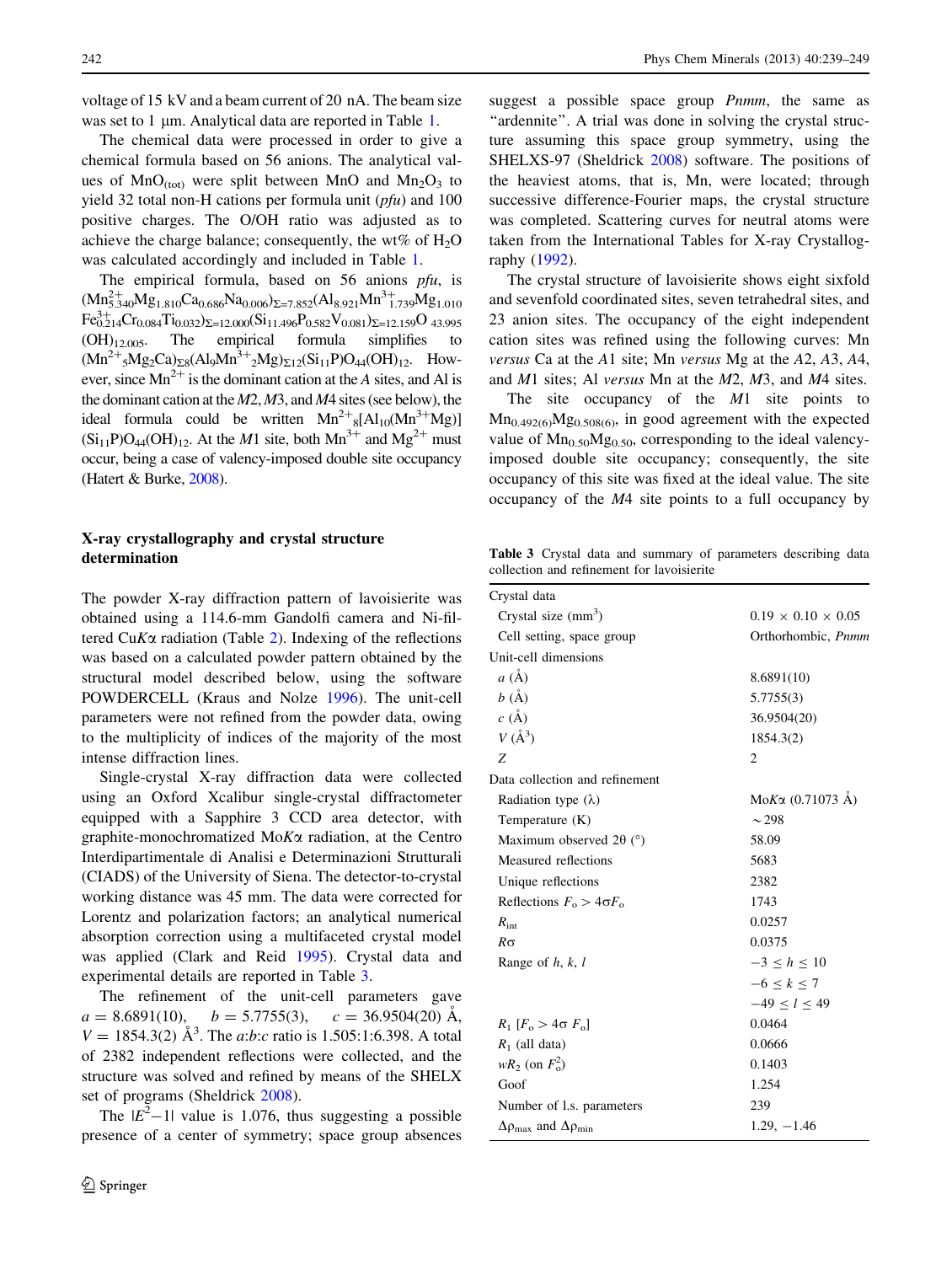voltage of 15 kV and a beam current of 20 nA. The beam size was set to  $1 \mu$ m. Analytical data are reported in Table [1.](#page-1-0)

The chemical data were processed in order to give a chemical formula based on 56 anions. The analytical values of  $MnO_{(tot)}$  were split between MnO and  $Mn<sub>2</sub>O<sub>3</sub>$  to yield 32 total non-H cations per formula unit  $(pfu)$  and 100 positive charges. The O/OH ratio was adjusted as to achieve the charge balance; consequently, the wt% of  $H_2O$ was calculated accordingly and included in Table [1](#page-1-0).

The empirical formula, based on 56 anions pfu, is  $(Mn_{5.340}^{2+}Mg_{1.810}Ca_{0.686}Na_{0.006})_{\Sigma=7.852}(Al_{8.921}Mn_{1.739}^{3+}Mg_{1.010}$  $\text{Fe}_{0.214}^{3+}\text{Cr}_{0.084}\text{Ti}_{0.032}\text{)}_{\Sigma=12.000}(\text{Si}_{11.496}\text{P}_{0.582}\text{V}_{0.081})_{\Sigma=12.159}\text{O}_{43.995}$  $(OH)_{12,005}$ . The empirical formula simplifies to  $(Mn^{2+}{}_{5}Mg_2Ca)_{\Sigma 8}(Al_9Mn^{3+}{}_{2}Mg)_{\Sigma 12}(Si_{11}P)O_{44}(OH)_{12}.$  However, since  $Mn^{2+}$  is the dominant cation at the A sites, and Al is the dominant cation at the M2, M3, and M4 sites (see below), the ideal formula could be written  $Mn^{2+}{}_{8}[Al_{10}(Mn^{3+}Mg)]$  $(Si_{11}P)O_{44}(OH)_{12}$ . At the *M*1 site, both  $Mn^{3+}$  and  $Mg^{2+}$  must occur, being a case of valency-imposed double site occupancy (Hatert & Burke, [2008](#page-10-0)).

# X-ray crystallography and crystal structure determination

The powder X-ray diffraction pattern of lavoisierite was obtained using a 114.6-mm Gandolfi camera and Ni-filtered CuK $\alpha$  radiation (Table [2\)](#page-2-0). Indexing of the reflections was based on a calculated powder pattern obtained by the structural model described below, using the software POWDERCELL (Kraus and Nolze [1996](#page-10-0)). The unit-cell parameters were not refined from the powder data, owing to the multiplicity of indices of the majority of the most intense diffraction lines.

Single-crystal X-ray diffraction data were collected using an Oxford Xcalibur single-crystal diffractometer equipped with a Sapphire 3 CCD area detector, with graphite-monochromatized  $M \circ K \alpha$  radiation, at the Centro Interdipartimentale di Analisi e Determinazioni Strutturali (CIADS) of the University of Siena. The detector-to-crystal working distance was 45 mm. The data were corrected for Lorentz and polarization factors; an analytical numerical absorption correction using a multifaceted crystal model was applied (Clark and Reid [1995](#page-10-0)). Crystal data and experimental details are reported in Table 3.

The refinement of the unit-cell parameters gave  $a = 8.6891(10), \quad b = 5.7755(3), \quad c = 36.9504(20)$  Å,  $V = 1854.3(2)$   $\AA^3$ . The *a*:*b*:*c* ratio is 1.505:1:6.398. A total of 2382 independent reflections were collected, and the structure was solved and refined by means of the SHELX set of programs (Sheldrick [2008](#page-10-0)).

The  $|E^2-1|$  value is 1.076, thus suggesting a possible presence of a center of symmetry; space group absences suggest a possible space group Pnmm, the same as "ardennite". A trial was done in solving the crystal structure assuming this space group symmetry, using the SHELXS-97 (Sheldrick [2008](#page-10-0)) software. The positions of the heaviest atoms, that is, Mn, were located; through successive difference-Fourier maps, the crystal structure was completed. Scattering curves for neutral atoms were taken from the International Tables for X-ray Crystallography ([1992\)](#page-10-0).

The crystal structure of lavoisierite shows eight sixfold and sevenfold coordinated sites, seven tetrahedral sites, and 23 anion sites. The occupancy of the eight independent cation sites was refined using the following curves: Mn versus Ca at the A1 site; Mn versus Mg at the A2, A3, A4, and M1 sites; Al versus Mn at the M2, M3, and M4 sites.

The site occupancy of the M1 site points to  $Mn_{0.492(6)}Mg_{0.508(6)}$ , in good agreement with the expected value of  $Mn_{0.50}Mg_{0.50}$ , corresponding to the ideal valencyimposed double site occupancy; consequently, the site occupancy of this site was fixed at the ideal value. The site occupancy of the M4 site points to a full occupancy by

Table 3 Crystal data and summary of parameters describing data collection and refinement for lavoisierite

| Crystal data                                              |                                |
|-----------------------------------------------------------|--------------------------------|
| Crystal size $(mm3)$                                      | $0.19 \times 0.10 \times 0.05$ |
| Cell setting, space group                                 | Orthorhombic, Pnmm             |
| Unit-cell dimensions                                      |                                |
| $a(\AA)$                                                  | 8.6891(10)                     |
| $b(\AA)$                                                  | 5.7755(3)                      |
| $c(\AA)$                                                  | 36.9504(20)                    |
| $V(\AA^3)$                                                | 1854.3(2)                      |
| Z                                                         | 2                              |
| Data collection and refinement                            |                                |
| Radiation type $(\lambda)$                                | $M$ ο Κα (0.71073 Å)           |
| Temperature (K)                                           | $\sim$ 298                     |
| Maximum observed 2 $\theta$ (°)                           | 58.09                          |
| Measured reflections                                      | 5683                           |
| Unique reflections                                        | 2382                           |
| Reflections $F_0 > 4 \sigma F_0$                          | 1743                           |
| $R_{\text{int}}$                                          | 0.0257                         |
| $R\sigma$                                                 | 0.0375                         |
| Range of $h, k, l$                                        | $-3 \le h \le 10$              |
|                                                           | $-6 < k < 7$                   |
|                                                           | $-49 < l < 49$                 |
| $R_1$ $[F_0 > 4 \sigma F_0]$                              | 0.0464                         |
| $R_1$ (all data)                                          | 0.0666                         |
| $wR_2$ (on $F_0^2$ )                                      | 0.1403                         |
| Goof                                                      | 1.254                          |
| Number of l.s. parameters                                 | 239                            |
| $\Delta \rho_{\text{max}}$ and $\Delta \rho_{\text{min}}$ | $1.29, -1.46$                  |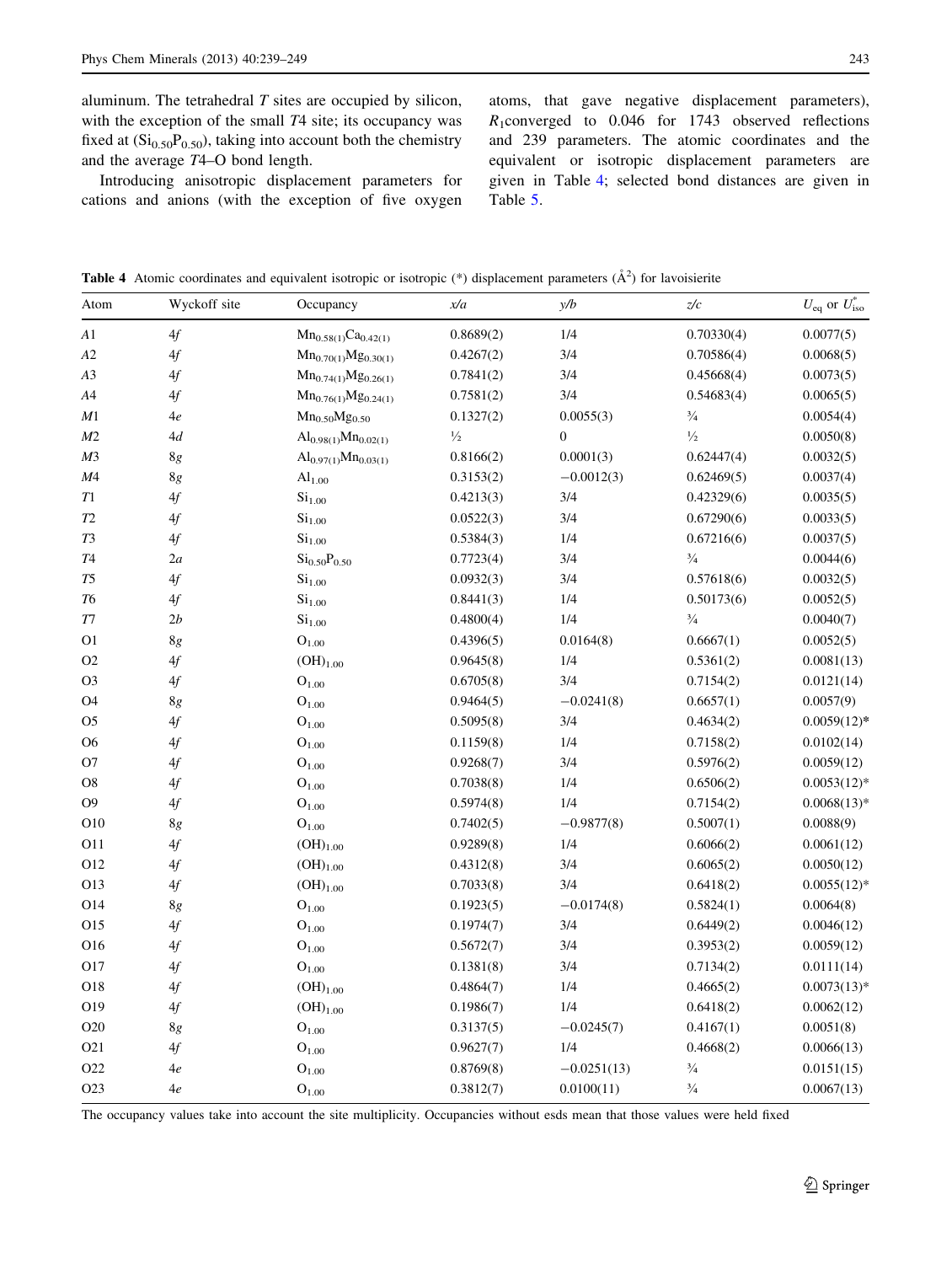aluminum. The tetrahedral  $T$  sites are occupied by silicon, with the exception of the small  $T4$  site; its occupancy was fixed at  $(Si<sub>0.50</sub>P<sub>0.50</sub>)$ , taking into account both the chemistry and the average T4–O bond length.

Introducing anisotropic displacement parameters for cations and anions (with the exception of five oxygen atoms, that gave negative displacement parameters),  $R_1$ converged to 0.046 for 1743 observed reflections and 239 parameters. The atomic coordinates and the equivalent or isotropic displacement parameters are given in Table 4; selected bond distances are given in Table [5](#page-5-0).

**Table 4** Atomic coordinates and equivalent isotropic or isotropic  $(*)$  displacement parameters  $(\hat{A}^2)$  for lavoisierite

| Atom             | Wyckoff site             | Occupancy                            | x/a           | y/b              | z/c           | $U_{\text{eq}}$ or $U_{\text{iso}}^*$ |
|------------------|--------------------------|--------------------------------------|---------------|------------------|---------------|---------------------------------------|
| A1               | 4f                       | $Mn_{0.58(1)}Ca0.42(1)$              | 0.8689(2)     | 1/4              | 0.70330(4)    | 0.0077(5)                             |
| A2               | 4f                       | $Mn_{0.70(1)}Mg_{0.30(1)}$           | 0.4267(2)     | 3/4              | 0.70586(4)    | 0.0068(5)                             |
| A <sub>3</sub>   | 4f                       | $Mn_{0.74(1)}Mg_{0.26(1)}$           | 0.7841(2)     | 3/4              | 0.45668(4)    | 0.0073(5)                             |
| A4               | 4f                       | $Mn_{0.76(1)}Mg_{0.24(1)}$           | 0.7581(2)     | 3/4              | 0.54683(4)    | 0.0065(5)                             |
| M1               | 4e                       | $Mn_{0.50}Mg_{0.50}$                 | 0.1327(2)     | 0.0055(3)        | $^{3}/_{4}$   | 0.0054(4)                             |
| M <sub>2</sub>   | 4d                       | $Al_{0.98(1)}Mn_{0.02(1)}$           | $\frac{1}{2}$ | $\boldsymbol{0}$ | $\frac{1}{2}$ | 0.0050(8)                             |
| M <sub>3</sub>   | 8g                       | $Al_{0.97(1)}Mn_{0.03(1)}$           | 0.8166(2)     | 0.0001(3)        | 0.62447(4)    | 0.0032(5)                             |
| M <sub>4</sub>   | 8g                       | Al <sub>1.00</sub>                   | 0.3153(2)     | $-0.0012(3)$     | 0.62469(5)    | 0.0037(4)                             |
| T1               | 4f                       | Si <sub>1.00</sub>                   | 0.4213(3)     | 3/4              | 0.42329(6)    | 0.0035(5)                             |
| T2               | 4f                       | Si <sub>1.00</sub>                   | 0.0522(3)     | 3/4              | 0.67290(6)    | 0.0033(5)                             |
| T <sub>3</sub>   | 4f                       | Si <sub>1.00</sub>                   | 0.5384(3)     | 1/4              | 0.67216(6)    | 0.0037(5)                             |
| T4               | 2a                       | Si <sub>0.50</sub> P <sub>0.50</sub> | 0.7723(4)     | 3/4              | $\frac{3}{4}$ | 0.0044(6)                             |
| T5               | 4f                       | Si <sub>1.00</sub>                   | 0.0932(3)     | 3/4              | 0.57618(6)    | 0.0032(5)                             |
| T6               | 4f                       | Si <sub>1.00</sub>                   | 0.8441(3)     | 1/4              | 0.50173(6)    | 0.0052(5)                             |
| Τ7               | 2b                       | Si <sub>1.00</sub>                   | 0.4800(4)     | 1/4              | $\frac{3}{4}$ | 0.0040(7)                             |
| O <sub>1</sub>   | $8\ensuremath{g}\xspace$ | O <sub>1.00</sub>                    | 0.4396(5)     | 0.0164(8)        | 0.6667(1)     | 0.0052(5)                             |
| O <sub>2</sub>   | 4f                       | $(OH)_{1.00}$                        | 0.9645(8)     | 1/4              | 0.5361(2)     | 0.0081(13)                            |
| O <sub>3</sub>   | 4f                       | O <sub>1.00</sub>                    | 0.6705(8)     | 3/4              | 0.7154(2)     | 0.0121(14)                            |
| O4               | 8g                       | $O_{1.00}$                           | 0.9464(5)     | $-0.0241(8)$     | 0.6657(1)     | 0.0057(9)                             |
| O <sub>5</sub>   | 4f                       | $O_{1.00}$                           | 0.5095(8)     | 3/4              | 0.4634(2)     | $0.0059(12)$ *                        |
| O <sub>6</sub>   | 4f                       | O <sub>1.00</sub>                    | 0.1159(8)     | 1/4              | 0.7158(2)     | 0.0102(14)                            |
| O <sub>7</sub>   | 4f                       | O <sub>1.00</sub>                    | 0.9268(7)     | 3/4              | 0.5976(2)     | 0.0059(12)                            |
| O <sub>8</sub>   | 4f                       | O <sub>1.00</sub>                    | 0.7038(8)     | 1/4              | 0.6506(2)     | $0.0053(12)^*$                        |
| O <sub>9</sub>   | 4f                       | O <sub>1.00</sub>                    | 0.5974(8)     | 1/4              | 0.7154(2)     | $0.0068(13)*$                         |
| O <sub>10</sub>  | 8g                       | O <sub>1.00</sub>                    | 0.7402(5)     | $-0.9877(8)$     | 0.5007(1)     | 0.0088(9)                             |
| O11              | 4f                       | $(OH)_{1.00}$                        | 0.9289(8)     | 1/4              | 0.6066(2)     | 0.0061(12)                            |
| O12              | 4f                       | $(OH)_{1.00}$                        | 0.4312(8)     | 3/4              | 0.6065(2)     | 0.0050(12)                            |
| O13              | 4f                       | $(OH)_{1.00}$                        | 0.7033(8)     | 3/4              | 0.6418(2)     | $0.0055(12)^*$                        |
| O14              | $8\ensuremath{g}\xspace$ | O <sub>1.00</sub>                    | 0.1923(5)     | $-0.0174(8)$     | 0.5824(1)     | 0.0064(8)                             |
| O15              | 4f                       | O <sub>1.00</sub>                    | 0.1974(7)     | 3/4              | 0.6449(2)     | 0.0046(12)                            |
| O16              | 4f                       | O <sub>1.00</sub>                    | 0.5672(7)     | 3/4              | 0.3953(2)     | 0.0059(12)                            |
| O17              | 4f                       | O <sub>1.00</sub>                    | 0.1381(8)     | 3/4              | 0.7134(2)     | 0.0111(14)                            |
| O18              | 4f                       | $(OH)_{1.00}$                        | 0.4864(7)     | 1/4              | 0.4665(2)     | $0.0073(13)*$                         |
| O19              | 4f                       | $(OH)_{1.00}$                        | 0.1986(7)     | 1/4              | 0.6418(2)     | 0.0062(12)                            |
| O <sub>20</sub>  | 8g                       | $O_{1.00}$                           | 0.3137(5)     | $-0.0245(7)$     | 0.4167(1)     | 0.0051(8)                             |
| O <sub>21</sub>  | 4f                       | $O_{1.00}$                           | 0.9627(7)     | 1/4              | 0.4668(2)     | 0.0066(13)                            |
| O22              | 4e                       | O <sub>1.00</sub>                    | 0.8769(8)     | $-0.0251(13)$    | $\frac{3}{4}$ | 0.0151(15)                            |
| O <sub>2</sub> 3 | 4e                       | $O_{1.00}$                           | 0.3812(7)     | 0.0100(11)       | $\frac{3}{4}$ | 0.0067(13)                            |

The occupancy values take into account the site multiplicity. Occupancies without esds mean that those values were held fixed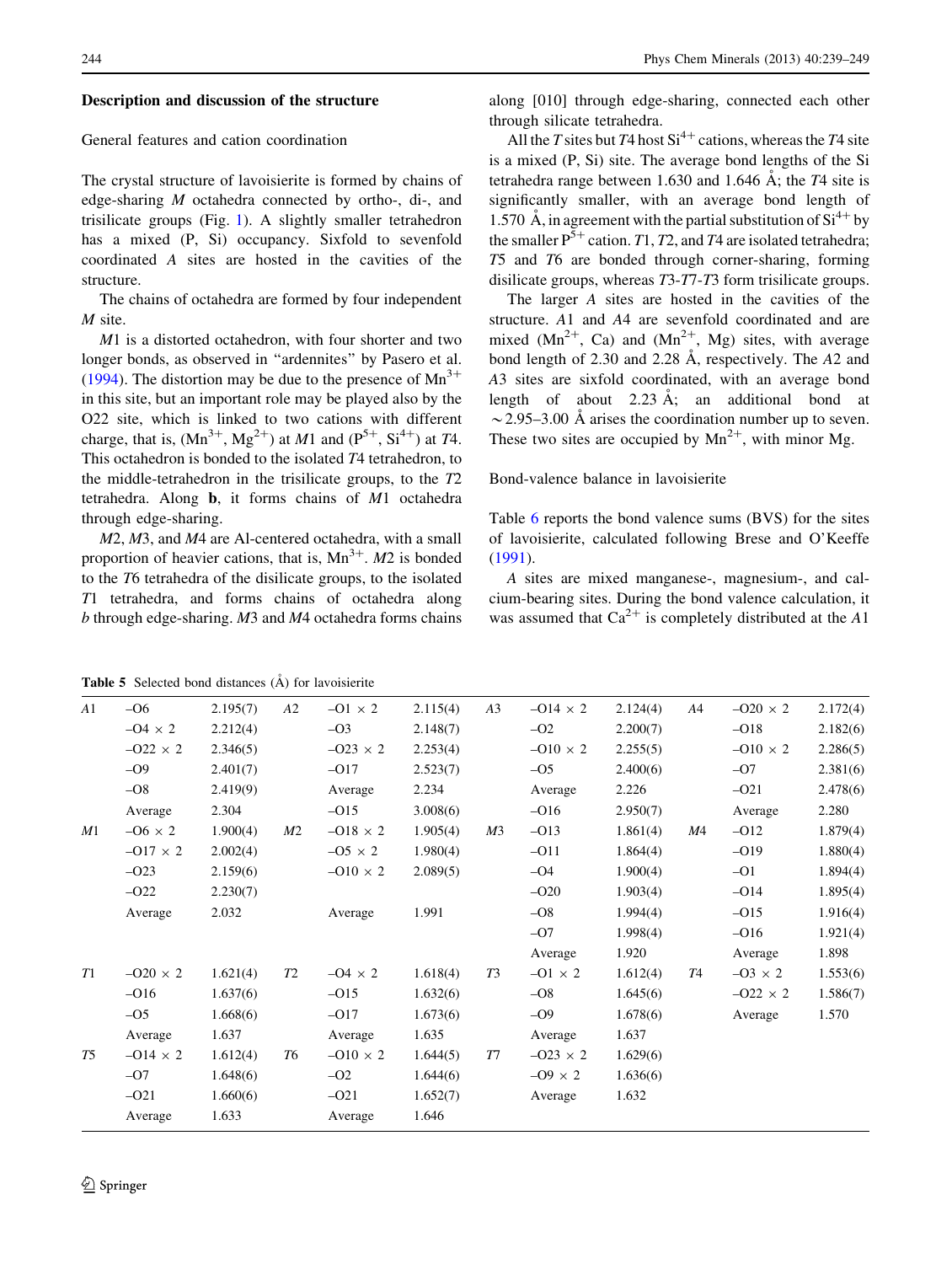#### <span id="page-5-0"></span>Description and discussion of the structure

## General features and cation coordination

The crystal structure of lavoisierite is formed by chains of edge-sharing M octahedra connected by ortho-, di-, and trisilicate groups (Fig. [1](#page-6-0)). A slightly smaller tetrahedron has a mixed (P, Si) occupancy. Sixfold to sevenfold coordinated A sites are hosted in the cavities of the structure.

The chains of octahedra are formed by four independent M site.

M1 is a distorted octahedron, with four shorter and two longer bonds, as observed in ''ardennites'' by Pasero et al. [\(1994](#page-10-0)). The distortion may be due to the presence of  $Mn^{3+}$ in this site, but an important role may be played also by the O22 site, which is linked to two cations with different charge, that is,  $(Mn^{3+}, Mg^{2+})$  at M1 and  $(P^{5+}, Si^{4+})$  at T4. This octahedron is bonded to the isolated T4 tetrahedron, to the middle-tetrahedron in the trisilicate groups, to the T2 tetrahedra. Along b, it forms chains of M1 octahedra through edge-sharing.

M2, M3, and M4 are Al-centered octahedra, with a small proportion of heavier cations, that is,  $Mn^{3+}$ . M2 is bonded to the T6 tetrahedra of the disilicate groups, to the isolated T1 tetrahedra, and forms chains of octahedra along b through edge-sharing. M3 and M4 octahedra forms chains

along [010] through edge-sharing, connected each other through silicate tetrahedra.

All the T sites but T4 host  $Si<sup>4+</sup>$  cations, whereas the T4 site is a mixed (P, Si) site. The average bond lengths of the Si tetrahedra range between 1.630 and 1.646  $\AA$ ; the T4 site is significantly smaller, with an average bond length of 1.570 Å, in agreement with the partial substitution of  $Si^{4+}$  by the smaller  $P^{\bar{5}+}$  cation. T1, T2, and T4 are isolated tetrahedra; T5 and T6 are bonded through corner-sharing, forming disilicate groups, whereas T3-T7-T3 form trisilicate groups.

The larger A sites are hosted in the cavities of the structure. A1 and A4 are sevenfold coordinated and are mixed  $(Mn^{2+}, Ca)$  and  $(Mn^{2+}, Mg)$  sites, with average bond length of 2.30 and 2.28  $\AA$ , respectively. The A2 and A3 sites are sixfold coordinated, with an average bond length of about  $2.23 \text{ Å}$ ; an additional bond at  $\sim$  2.95–3.00 Å arises the coordination number up to seven. These two sites are occupied by  $Mn^{2+}$ , with minor Mg.

## Bond-valence balance in lavoisierite

Table [6](#page-7-0) reports the bond valence sums (BVS) for the sites of lavoisierite, calculated following Brese and O'Keeffe [\(1991](#page-10-0)).

A sites are mixed manganese-, magnesium-, and calcium-bearing sites. During the bond valence calculation, it was assumed that  $Ca^{2+}$  is completely distributed at the A1

**Table 5** Selected bond distances  $(A)$  for lavoisierite

| A1 | $-O6$           | 2.195(7) | A2             | $-01 \times 2$  | 2.115(4) | A <sub>3</sub> | $-014 \times 2$ | 2.124(4) | A4 | $-020 \times 2$ | 2.172(4) |
|----|-----------------|----------|----------------|-----------------|----------|----------------|-----------------|----------|----|-----------------|----------|
|    | $-04 \times 2$  | 2.212(4) |                | $-O3$           | 2.148(7) |                | $-O2$           | 2.200(7) |    | $-018$          | 2.182(6) |
|    | $-022 \times 2$ | 2.346(5) |                | $-023 \times 2$ | 2.253(4) |                | $-010 \times 2$ | 2.255(5) |    | $-010 \times 2$ | 2.286(5) |
|    | $-O9$           | 2.401(7) |                | $-017$          | 2.523(7) |                | $-O5$           | 2.400(6) |    | $-O7$           | 2.381(6) |
|    | $-O8$           | 2.419(9) |                | Average         | 2.234    |                | Average         | 2.226    |    | $-021$          | 2.478(6) |
|    | Average         | 2.304    |                | $-015$          | 3.008(6) |                | $-016$          | 2.950(7) |    | Average         | 2.280    |
| M1 | $-06 \times 2$  | 1.900(4) | M <sub>2</sub> | $-018 \times 2$ | 1.905(4) | M <sub>3</sub> | $-013$          | 1.861(4) | M4 | $-012$          | 1.879(4) |
|    | $-017 \times 2$ | 2.002(4) |                | $-05 \times 2$  | 1.980(4) |                | $-011$          | 1.864(4) |    | $-019$          | 1.880(4) |
|    | $-O23$          | 2.159(6) |                | $-010 \times 2$ | 2.089(5) |                | $-O4$           | 1.900(4) |    | $-O1$           | 1.894(4) |
|    | $-O22$          | 2.230(7) |                |                 |          |                | $-O20$          | 1.903(4) |    | $-O14$          | 1.895(4) |
|    | Average         | 2.032    |                | Average         | 1.991    |                | $-O8$           | 1.994(4) |    | $-015$          | 1.916(4) |
|    |                 |          |                |                 |          |                | $-O7$           | 1.998(4) |    | $-016$          | 1.921(4) |
|    |                 |          |                |                 |          |                | Average         | 1.920    |    | Average         | 1.898    |
| T1 | $-020 \times 2$ | 1.621(4) | T2             | $-04 \times 2$  | 1.618(4) | T3             | $-01 \times 2$  | 1.612(4) | T4 | $-03 \times 2$  | 1.553(6) |
|    | $-016$          | 1.637(6) |                | $-015$          | 1.632(6) |                | $-O8$           | 1.645(6) |    | $-022 \times 2$ | 1.586(7) |
|    | $-O5$           | 1.668(6) |                | $-017$          | 1.673(6) |                | $-O9$           | 1.678(6) |    | Average         | 1.570    |
|    | Average         | 1.637    |                | Average         | 1.635    |                | Average         | 1.637    |    |                 |          |
| T5 | $-014 \times 2$ | 1.612(4) | T6             | $-010 \times 2$ | 1.644(5) | T7             | $-023 \times 2$ | 1.629(6) |    |                 |          |
|    | $-O7$           | 1.648(6) |                | $-O2$           | 1.644(6) |                | $-09 \times 2$  | 1.636(6) |    |                 |          |
|    | $-021$          | 1.660(6) |                | $-021$          | 1.652(7) |                | Average         | 1.632    |    |                 |          |
|    | Average         | 1.633    |                | Average         | 1.646    |                |                 |          |    |                 |          |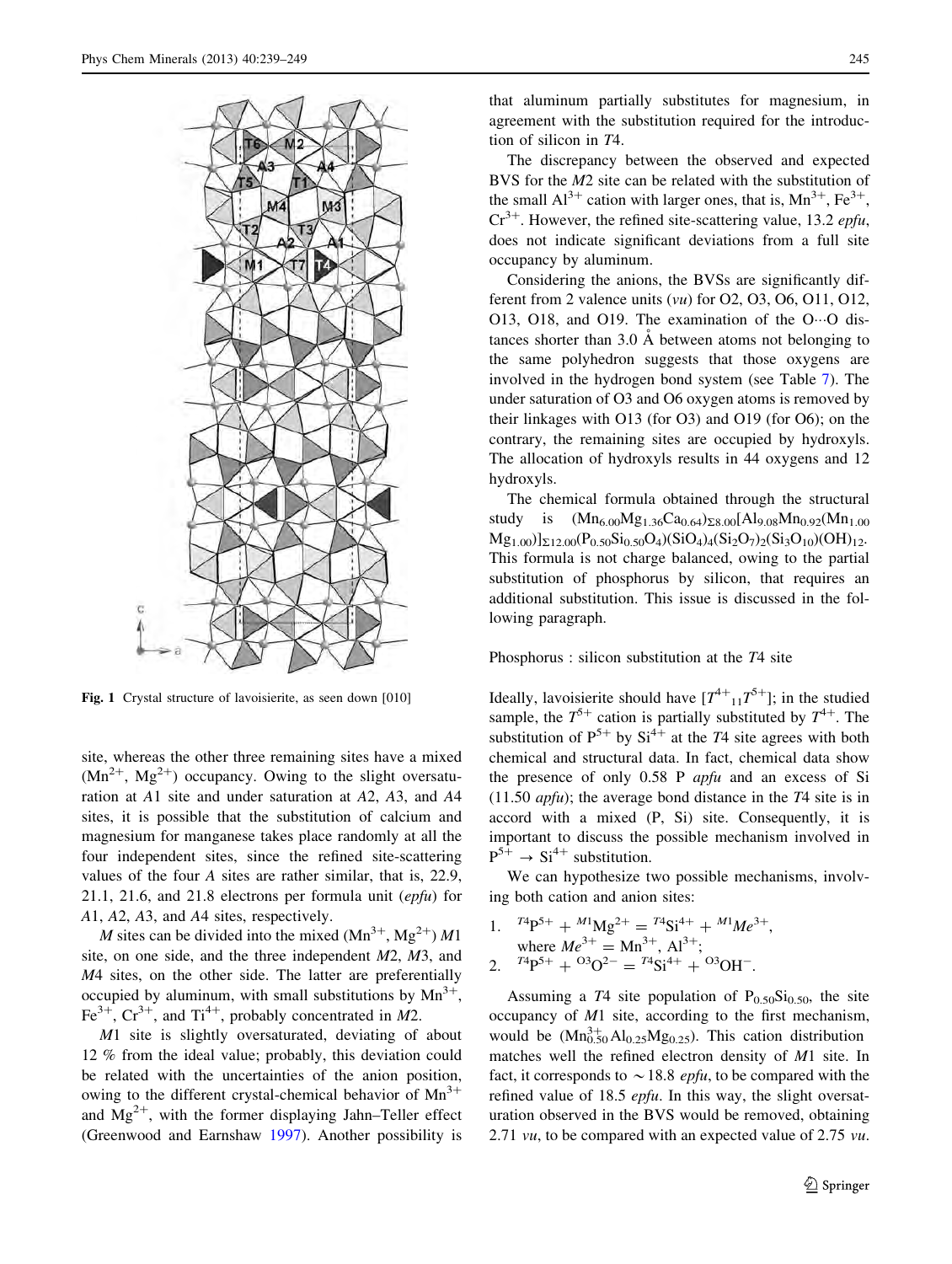<span id="page-6-0"></span>

Fig. 1 Crystal structure of lavoisierite, as seen down [010]

site, whereas the other three remaining sites have a mixed  $(Mn^{2+}$ ,  $Mg^{2+})$  occupancy. Owing to the slight oversaturation at A1 site and under saturation at A2, A3, and A4 sites, it is possible that the substitution of calcium and magnesium for manganese takes place randomly at all the four independent sites, since the refined site-scattering values of the four A sites are rather similar, that is, 22.9, 21.1, 21.6, and 21.8 electrons per formula unit (epfu) for A1, A2, A3, and A4 sites, respectively.

*M* sites can be divided into the mixed  $(Mn^{3+}, Mg^{2+})$  *M*1 site, on one side, and the three independent M2, M3, and M4 sites, on the other side. The latter are preferentially occupied by aluminum, with small substitutions by  $Mn^{3+}$ , Fe<sup>3+</sup>, Cr<sup>3+</sup>, and Ti<sup>4+</sup>, probably concentrated in M2.

M1 site is slightly oversaturated, deviating of about 12 % from the ideal value; probably, this deviation could be related with the uncertainties of the anion position, owing to the different crystal-chemical behavior of  $Mn^{3+}$ and  $Mg^{2+}$ , with the former displaying Jahn–Teller effect (Greenwood and Earnshaw [1997\)](#page-10-0). Another possibility is

that aluminum partially substitutes for magnesium, in agreement with the substitution required for the introduction of silicon in T4.

The discrepancy between the observed and expected BVS for the *M*2 site can be related with the substitution of the small  $Al^{3+}$  cation with larger ones, that is,  $Mn^{3+}$ ,  $Fe^{3+}$ ,  $Cr^{3+}$ . However, the refined site-scattering value, 13.2 epfu, does not indicate significant deviations from a full site occupancy by aluminum.

Considering the anions, the BVSs are significantly different from 2 valence units  $(vu)$  for O2, O3, O6, O11, O12, O13, O18, and O19. The examination of the O $\cdots$ O distances shorter than  $3.0 \text{ Å}$  between atoms not belonging to the same polyhedron suggests that those oxygens are involved in the hydrogen bond system (see Table [7](#page-8-0)). The under saturation of O3 and O6 oxygen atoms is removed by their linkages with O13 (for O3) and O19 (for O6); on the contrary, the remaining sites are occupied by hydroxyls. The allocation of hydroxyls results in 44 oxygens and 12 hydroxyls.

The chemical formula obtained through the structural study is  $(Mn_{6.00}Mg_{1.36}Ca_{0.64})_{\Sigma 8.00}[Al_{9.08}Mn_{0.92}(Mn_{1.00}$  $M_{[21.00)}]_{\Sigma12.00}(P_{0.50}Si_{0.50}O_4)(SiO_4)_4(Si_2O_7)_2(Si_3O_{10})(OH)_{12}$ This formula is not charge balanced, owing to the partial substitution of phosphorus by silicon, that requires an additional substitution. This issue is discussed in the following paragraph.

Phosphorus : silicon substitution at the T4 site

Ideally, lavoisierite should have  $[T^{4+}_{11}T^{5+}]$ ; in the studied sample, the  $T^{5+}$  cation is partially substituted by  $T^{4+}$ . The substitution of  $P^{5+}$  by  $Si^{4+}$  at the T4 site agrees with both chemical and structural data. In fact, chemical data show the presence of only 0.58 P apfu and an excess of Si (11.50 apfu); the average bond distance in the T4 site is in accord with a mixed (P, Si) site. Consequently, it is important to discuss the possible mechanism involved in  $P^{5+} \rightarrow Si^{4+}$  substitution.

We can hypothesize two possible mechanisms, involving both cation and anion sites:

1.  ${}^{T4}P^{5+} + {}^{M1}Mg^{2+} = {}^{T4}Si^{4+} + {}^{M1}Me^{3+}$ where  $Me^{3+} = Mn^{3+}$ ,  $Al^{3+}$ ; 2.  ${}^{T4}P^{5+} + {}^{O3}O^{2-} = {}^{T4}Si^{4+} + {}^{O3}OH^{-}$ .

Assuming a  $T4$  site population of  $P_{0.50}Si_{0.50}$ , the site occupancy of M1 site, according to the first mechanism, would be  $(Mn_{0.50}^{3+}Al_{0.25}Mg_{0.25})$ . This cation distribution matches well the refined electron density of M1 site. In fact, it corresponds to  $\sim$  18.8 *epfu*, to be compared with the refined value of 18.5 epfu. In this way, the slight oversaturation observed in the BVS would be removed, obtaining 2.71 *vu*, to be compared with an expected value of 2.75 *vu*.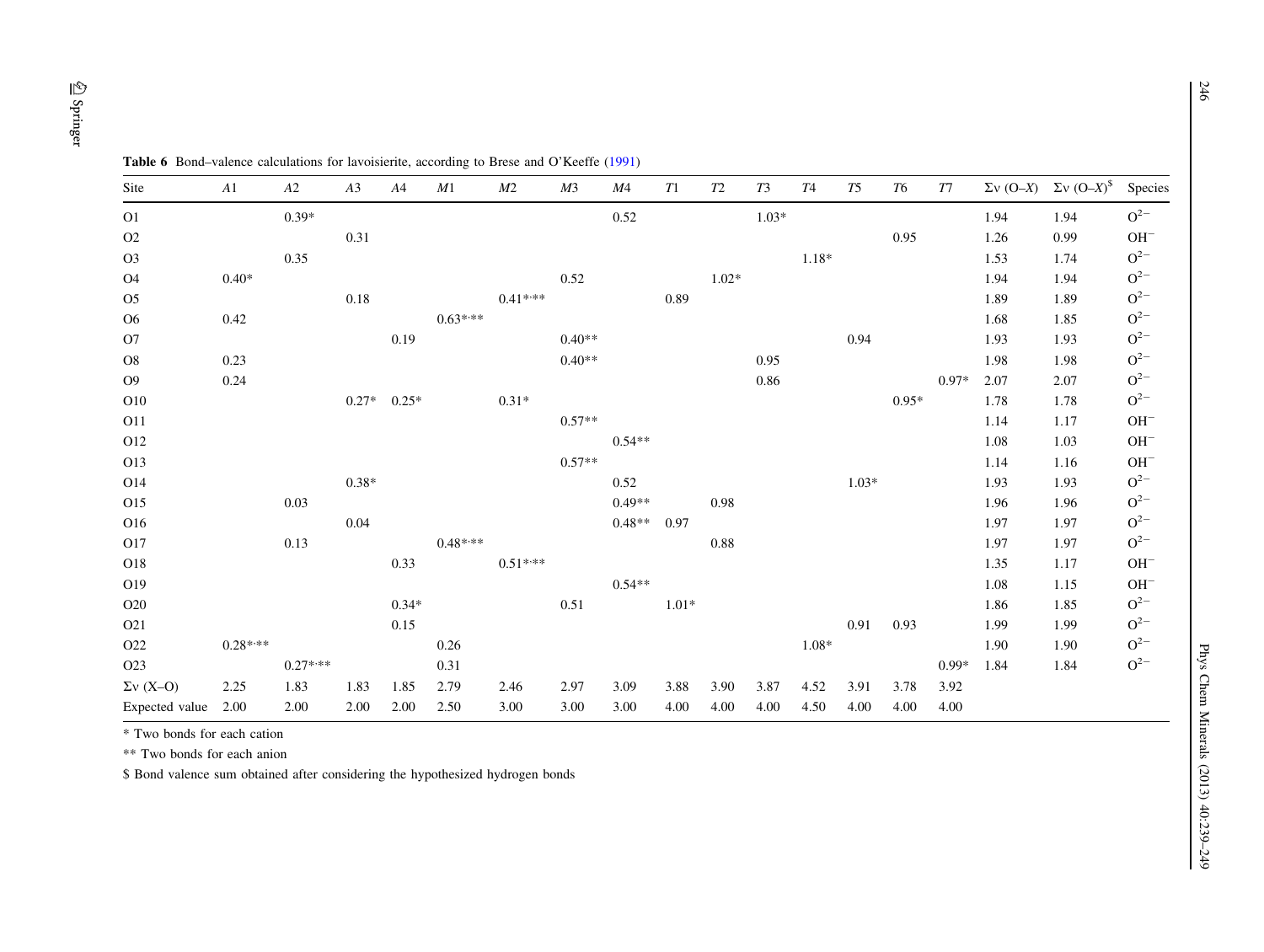| Site             | A1        | $\boldsymbol{A2}$ | A3      | A4      | M1        | M2        | M <sub>3</sub> | M4       | ${\cal T}1$ | ${\cal T}2$ | T3      | <b>T4</b> | T5      | <b>T6</b> | T7      |      | $\Sigma v$ (O–X) $\Sigma v$ (O–X) <sup>\$</sup> | Species      |
|------------------|-----------|-------------------|---------|---------|-----------|-----------|----------------|----------|-------------|-------------|---------|-----------|---------|-----------|---------|------|-------------------------------------------------|--------------|
| O <sub>1</sub>   |           | $0.39*$           |         |         |           |           |                | 0.52     |             |             | $1.03*$ |           |         |           |         | 1.94 | 1.94                                            | $\rm O^{2-}$ |
| O2               |           |                   | 0.31    |         |           |           |                |          |             |             |         |           |         | 0.95      |         | 1.26 | 0.99                                            | $OH^-$       |
| O <sub>3</sub>   |           | 0.35              |         |         |           |           |                |          |             |             |         | $1.18*$   |         |           |         | 1.53 | 1.74                                            | $O^{2-}$     |
| <b>O4</b>        | $0.40*$   |                   |         |         |           |           | 0.52           |          |             | $1.02*$     |         |           |         |           |         | 1.94 | 1.94                                            | $O^{2-}$     |
| O <sub>5</sub>   |           |                   | 0.18    |         |           | $0.41***$ |                |          | 0.89        |             |         |           |         |           |         | 1.89 | 1.89                                            | $O^{2-}$     |
| O <sub>6</sub>   | 0.42      |                   |         |         | $0.63***$ |           |                |          |             |             |         |           |         |           |         | 1.68 | 1.85                                            | $\rm O^{2-}$ |
| O7               |           |                   |         | 0.19    |           |           | $0.40**$       |          |             |             |         |           | 0.94    |           |         | 1.93 | 1.93                                            | $O^{2-}$     |
| O8               | 0.23      |                   |         |         |           |           | $0.40**$       |          |             |             | 0.95    |           |         |           |         | 1.98 | 1.98                                            | $\rm O^{2-}$ |
| O <sub>9</sub>   | 0.24      |                   |         |         |           |           |                |          |             |             | 0.86    |           |         |           | $0.97*$ | 2.07 | 2.07                                            | $O^{2-}$     |
| O10              |           |                   | $0.27*$ | $0.25*$ |           | $0.31*$   |                |          |             |             |         |           |         | $0.95*$   |         | 1.78 | 1.78                                            | $O^{2-}$     |
| O11              |           |                   |         |         |           |           | $0.57**$       |          |             |             |         |           |         |           |         | 1.14 | 1.17                                            | $OH^-$       |
| O12              |           |                   |         |         |           |           |                | $0.54**$ |             |             |         |           |         |           |         | 1.08 | 1.03                                            | $OH^-$       |
| O13              |           |                   |         |         |           |           | $0.57**$       |          |             |             |         |           |         |           |         | 1.14 | 1.16                                            | $OH^-$       |
| O14              |           |                   | $0.38*$ |         |           |           |                | 0.52     |             |             |         |           | $1.03*$ |           |         | 1.93 | 1.93                                            | $O^{2-}$     |
| O15              |           | 0.03              |         |         |           |           |                | $0.49**$ |             | 0.98        |         |           |         |           |         | 1.96 | 1.96                                            | $O^{2-}$     |
| O16              |           |                   | 0.04    |         |           |           |                | $0.48**$ | 0.97        |             |         |           |         |           |         | 1.97 | 1.97                                            | $O^{2-}$     |
| O17              |           | 0.13              |         |         | $0.48***$ |           |                |          |             | 0.88        |         |           |         |           |         | 1.97 | 1.97                                            | $O^{2-}$     |
| O18              |           |                   |         | 0.33    |           | $0.51***$ |                |          |             |             |         |           |         |           |         | 1.35 | 1.17                                            | $OH^-$       |
| O19              |           |                   |         |         |           |           |                | $0.54**$ |             |             |         |           |         |           |         | 1.08 | 1.15                                            | $OH^-$       |
| O20              |           |                   |         | $0.34*$ |           |           | 0.51           |          | $1.01*$     |             |         |           |         |           |         | 1.86 | 1.85                                            | $O^{2-}$     |
| O21              |           |                   |         | 0.15    |           |           |                |          |             |             |         |           | 0.91    | 0.93      |         | 1.99 | 1.99                                            | $O^{2-}$     |
| O22              | $0.28***$ |                   |         |         | 0.26      |           |                |          |             |             |         | $1.08*$   |         |           |         | 1.90 | 1.90                                            | $O^{2-}$     |
| O <sub>2</sub> 3 |           | $0.27***$         |         |         | 0.31      |           |                |          |             |             |         |           |         |           | $0.99*$ | 1.84 | 1.84                                            | $O^{2-}$     |
| $\Sigma v$ (X-O) | 2.25      | 1.83              | 1.83    | 1.85    | 2.79      | 2.46      | 2.97           | 3.09     | 3.88        | 3.90        | 3.87    | 4.52      | 3.91    | 3.78      | 3.92    |      |                                                 |              |
| Expected value   | 2.00      | 2.00              | 2.00    | 2.00    | 2.50      | 3.00      | 3.00           | 3.00     | 4.00        | 4.00        | 4.00    | 4.50      | 4.00    | 4.00      | 4.00    |      |                                                 |              |

<span id="page-7-0"></span>

| <b>Table 6</b> Bond–valence calculations for lavoisierite, according to Brese and O'Keeffe (1991) |  |
|---------------------------------------------------------------------------------------------------|--|
|---------------------------------------------------------------------------------------------------|--|

\* Two bonds for each cation

\*\* Two bonds for each anion

\$ Bond valence sum obtained after considering the hypothesized hydrogen bonds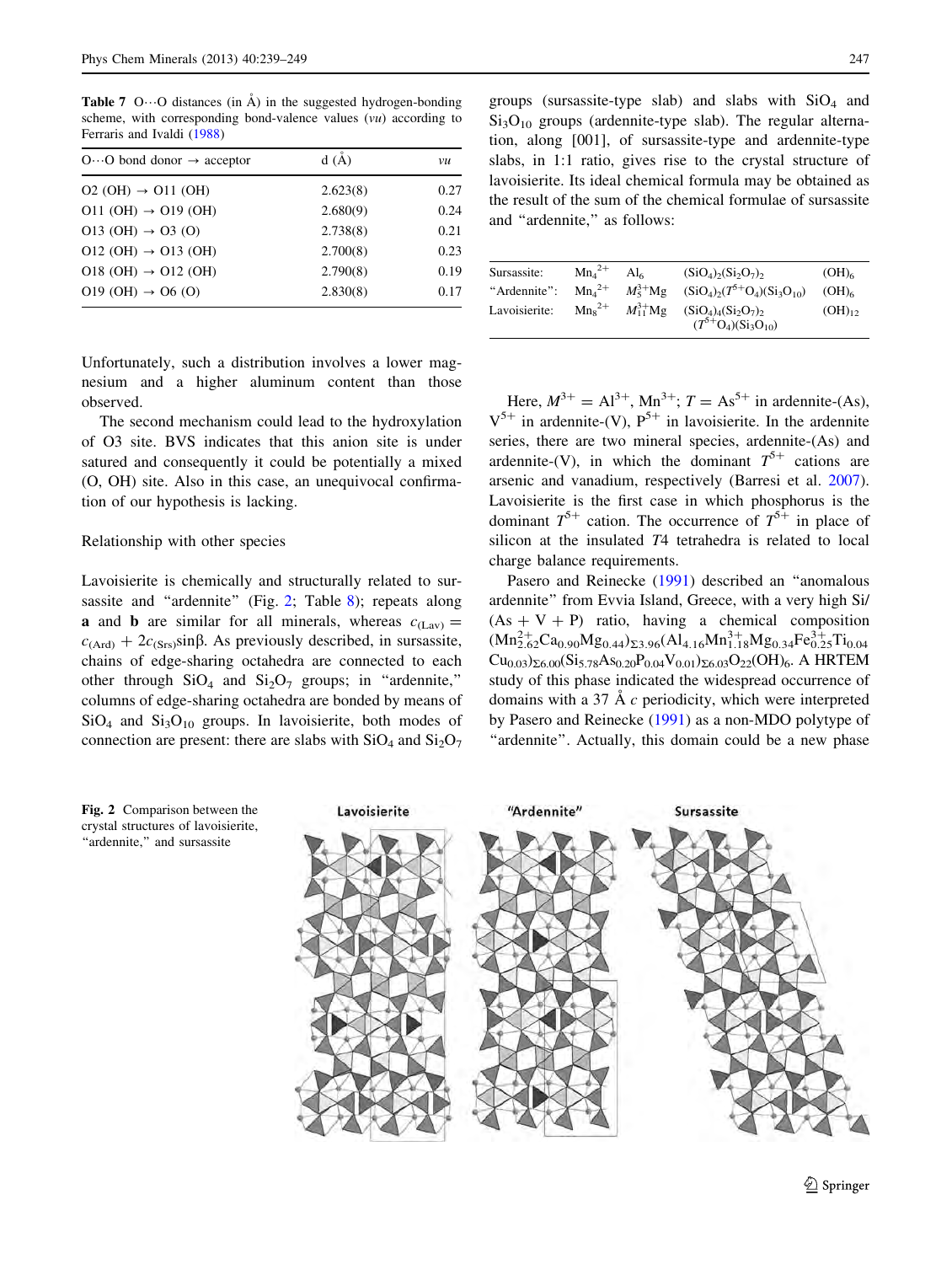<span id="page-8-0"></span>**Table 7** O $\cdots$ O distances (in  $\AA$ ) in the suggested hydrogen-bonding scheme, with corresponding bond-valence values (vu) according to Ferraris and Ivaldi ([1988\)](#page-10-0)

| $O \cdots O$ bond donor $\rightarrow$ acceptor | d(A)     | vu   |
|------------------------------------------------|----------|------|
| $O2(OH) \rightarrow O11(OH)$                   | 2.623(8) | 0.27 |
| $O11$ (OH) $\rightarrow$ O19 (OH)              | 2.680(9) | 0.24 |
| $O13(OH) \rightarrow O3(O)$                    | 2.738(8) | 0.21 |
| $O12$ (OH) $\rightarrow$ O13 (OH)              | 2.700(8) | 0.23 |
| $O18$ (OH) $\rightarrow$ O12 (OH)              | 2.790(8) | 0.19 |
| $O19(OH) \rightarrow O6(O)$                    | 2.830(8) | 0.17 |

Unfortunately, such a distribution involves a lower magnesium and a higher aluminum content than those observed.

The second mechanism could lead to the hydroxylation of O3 site. BVS indicates that this anion site is under satured and consequently it could be potentially a mixed (O, OH) site. Also in this case, an unequivocal confirmation of our hypothesis is lacking.

#### Relationship with other species

Lavoisierite is chemically and structurally related to sur-sassite and "ardennite" (Fig. 2; Table [8](#page-9-0)); repeats along **a** and **b** are similar for all minerals, whereas  $c_{(Lav)} =$  $c<sub>(Ard)</sub> + 2c<sub>(Srs)</sub>sinβ$ . As previously described, in sursassite, chains of edge-sharing octahedra are connected to each other through  $SiO<sub>4</sub>$  and  $Si<sub>2</sub>O<sub>7</sub>$  groups; in "ardennite," columns of edge-sharing octahedra are bonded by means of  $SiO<sub>4</sub>$  and  $Si<sub>3</sub>O<sub>10</sub>$  groups. In lavoisierite, both modes of connection are present: there are slabs with  $SiO<sub>4</sub>$  and  $Si<sub>2</sub>O<sub>7</sub>$ 

groups (sursassite-type slab) and slabs with  $SiO<sub>4</sub>$  and  $Si<sub>3</sub>O<sub>10</sub>$  groups (ardennite-type slab). The regular alternation, along [001], of sursassite-type and ardennite-type slabs, in 1:1 ratio, gives rise to the crystal structure of lavoisierite. Its ideal chemical formula may be obtained as the result of the sum of the chemical formulae of sursassite and "ardennite," as follows:

| Sursassite:   | $Mn42+$     | Al6              | $(SiO_4)_2(Si_2O_7)_2$           | (OH) <sub>6</sub> |
|---------------|-------------|------------------|----------------------------------|-------------------|
| "Ardennite":  | $Mn42+$     | $M_5^{3+}$ Mg    | $(SiO_4)_2(T^5+O_4)(Si_3O_{10})$ | $(OH)_{6}$        |
| Lavoisierite: | $Mn_s^{2+}$ | $M_{11}^{3+}$ Mg | $(SiO_4)_4(Si_2O_7)_2$           | $(OH)_{12}$       |
|               |             |                  | $(T^{5+}O_4)(Si_3O_{10})$        |                   |

Here,  $M^{3+} = Al^{3+}$ ,  $Mn^{3+}$ ;  $T = As^{5+}$  in ardennite-(As),  $V^{5+}$  in ardennite-(V),  $P^{5+}$  in lavoisierite. In the ardennite series, there are two mineral species, ardennite-(As) and ardennite-(V), in which the dominant  $T^{5+}$  cations are arsenic and vanadium, respectively (Barresi et al. [2007](#page-10-0)). Lavoisierite is the first case in which phosphorus is the dominant  $T^{5+}$  cation. The occurrence of  $T^{5+}$  in place of silicon at the insulated T4 tetrahedra is related to local charge balance requirements.

Pasero and Reinecke ([1991\)](#page-10-0) described an ''anomalous ardennite'' from Evvia Island, Greece, with a very high Si/  $(As + V + P)$  ratio, having a chemical composition  $(Mn_{2.62}^{2+}Ca_{0.90}Mg_{0.44})_{\Sigma3.96}(Al_{4.16}Mn_{1.18}^{3+}Mg_{0.34}Fe_{0.25}^{3+}Ti_{0.04}$  $Cu_{0.03}S_{\Sigma 6.00}(Si_{5.78}As_{0.20}P_{0.04}V_{0.01}S_{\Sigma 6.03}O_{22}(OH)_{6}.$  A HRTEM study of this phase indicated the widespread occurrence of domains with a 37  $\AA$  c periodicity, which were interpreted by Pasero and Reinecke [\(1991](#page-10-0)) as a non-MDO polytype of "ardennite". Actually, this domain could be a new phase



Fig. 2 Comparison between the crystal structures of lavoisierite, "ardennite," and sursassite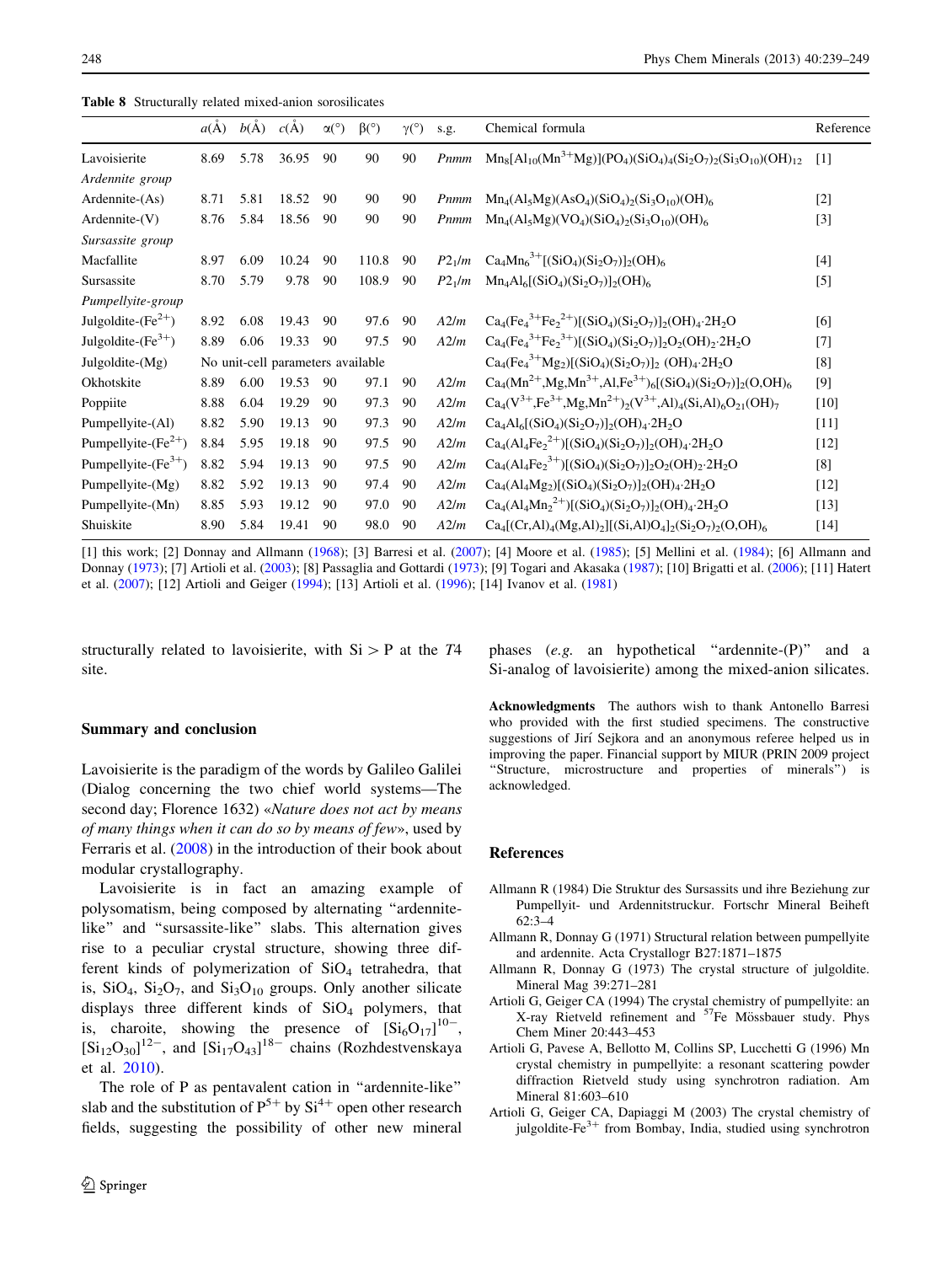<span id="page-9-0"></span>Table 8 Structurally related mixed-anion sorosilicates

|                         | $a(\dot{A})$ | $b(\AA)$ | c(A)                              | $\alpha$ <sup>o</sup> ) | $\beta$ <sup>o</sup> ) | $\gamma$ <sup>(°)</sup> | s.g.               | Chemical formula                                                               | Reference         |
|-------------------------|--------------|----------|-----------------------------------|-------------------------|------------------------|-------------------------|--------------------|--------------------------------------------------------------------------------|-------------------|
| Lavoisierite            | 8.69         | 5.78     | 36.95                             | 90                      | 90                     | 90                      | Pnmm               | $Mn_8[A1_{10}(Mn^{3+}Mg)](PO_4)(SiO_4)_4(Si_2O_7)_2(Si_3O_{10})(OH)_{12}$      | $\lceil 1 \rceil$ |
| Ardennite group         |              |          |                                   |                         |                        |                         |                    |                                                                                |                   |
| Ardennite-(As)          | 8.71         | 5.81     | 18.52                             | 90                      | 90                     | 90                      | Pnmm               | $Mn_4(Al_5Mg)(AsO_4)(SiO_4)_2(Si_3O_{10})(OH)_6$                               | $[2]$             |
| $Ardennite-(V)$         | 8.76         | 5.84     | 18.56                             | 90                      | 90                     | 90                      | Pnmm               | $Mn_4(Al_5Mg)(VO_4)(SiO_4)_2(Si_3O_{10})(OH)_6$                                | $[3]$             |
| Sursassite group        |              |          |                                   |                         |                        |                         |                    |                                                                                |                   |
| Macfallite              | 8.97         | 6.09     | 10.24                             | 90                      | 110.8                  | 90                      | P2 <sub>1</sub> /m | $Ca_4Mn_6^{3+}[(SiO_4)(Si_2O_7)]_2(OH)_6$                                      | [4]               |
| Sursassite              | 8.70         | 5.79     | 9.78                              | 90                      | 108.9                  | 90                      | $P2_1/m$           | $Mn_4Al_6[(SiO_4)(Si_2O_7)]_2(OH)_6$                                           | $\left[5\right]$  |
| Pumpellyite-group       |              |          |                                   |                         |                        |                         |                    |                                                                                |                   |
| Julgoldite- $(Fe^{2+})$ | 8.92         | 6.08     | 19.43                             | 90                      | 97.6                   | 90                      | A2/m               | $Ca_4(Fe_4^{3+}Fe_2^{2+})[(SiO_4)(Si_2O_7)]_2(OH)_4.2H_2O$                     | [6]               |
| Julgoldite- $(Fe3+)$    | 8.89         | 6.06     | 19.33                             | 90                      | 97.5                   | 90                      | A2/m               | $Ca_4(Fe_4^{3+}Fe_2^{3+})[(SiO_4)(Si_2O_7)]_2O_2(OH)_2.2H_2O$                  | [7]               |
| Julgoldite- $(Mg)$      |              |          | No unit-cell parameters available |                         |                        |                         |                    | $Ca_4(Fe_4^{3+}Mg_2)[(SiO_4)(Si_2O_7)]_2$ (OH) <sub>4</sub> .2H <sub>2</sub> O | [8]               |
| Okhotskite              | 8.89         | 6.00     | 19.53                             | 90                      | 97.1                   | 90                      | A2/m               | $Ca_4(Mn^{2+}Mg, Mn^{3+}, Al, Fe^{3+})_6[(SiO_4)(Si_2O_7)]_2(O, OH)_6$         | [9]               |
| Poppiite                | 8.88         | 6.04     | 19.29                             | 90                      | 97.3                   | 90                      | A2/m               | $Ca_4(V^{3+},Fe^{3+},Mg,Mn^{2+})_2(V^{3+},Al)_4(Si,Al)_6O_{21}(OH)_7$          | [10]              |
| Pumpellyite-(Al)        | 8.82         | 5.90     | 19.13                             | 90                      | 97.3                   | 90                      | A2/m               | $Ca4Al6[(SiO4)(Si2O7)]2(OH)4·2H2O$                                             | $[11]$            |
| Pumpellyite- $(Fe2+)$   | 8.84         | 5.95     | 19.18                             | 90                      | 97.5                   | 90                      | A2/m               | $Ca_4(Al_4Fe_2^{2+})[(SiO_4)(Si_2O_7)]_2(OH)_4.2H_2O$                          | $[12]$            |
| Pumpellyite- $(Fe3+)$   | 8.82         | 5.94     | 19.13                             | 90                      | 97.5                   | 90                      | A2/m               | $Ca_4(Al_4Fe_2^{3+})[(SiO_4)(Si_2O_7)]_2O_2(OH)_2.2H_2O$                       | [8]               |
| Pumpellyite-(Mg)        | 8.82         | 5.92     | 19.13                             | 90                      | 97.4                   | 90                      | A2/m               | $Ca_4(Al_4Mg_2)[(SiO_4)(Si_2O_7)]_2(OH)_4.2H_2O$                               | $[12]$            |
| Pumpellyite-(Mn)        | 8.85         | 5.93     | 19.12                             | 90                      | 97.0                   | 90                      | A2/m               | $Ca_4(Al_4Mn_2^{2+})[(SiO_4)(Si_2O_7)]_2(OH)_4.2H_2O$                          | $[13]$            |
| Shuiskite               | 8.90         | 5.84     | 19.41                             | 90                      | 98.0                   | 90                      | A2/m               | $Ca_4[(Cr, Al)_4(Mg, Al)_2][(Si, Al)O_4]_2(Si_2O_7)_2(O, OH)_6$                | $[14]$            |

[1] this work; [2] Donnay and Allmann ([1968\)](#page-10-0); [3] Barresi et al. [\(2007\)](#page-10-0); [4] Moore et al. [\(1985](#page-10-0)); [5] Mellini et al. ([1984\)](#page-10-0); [6] Allmann and Donnay (1973); [7] Artioli et al. (2003); [8] Passaglia and Gottardi [\(1973](#page-10-0)); [9] Togari and Akasaka ([1987\)](#page-10-0); [10] Brigatti et al. [\(2006](#page-10-0)); [11] Hatert et al. ([2007\)](#page-10-0); [12] Artioli and Geiger (1994); [13] Artioli et al. (1996); [14] Ivanov et al. ([1981\)](#page-10-0)

structurally related to lavoisierite, with  $Si > P$  at the T4 site.

## Summary and conclusion

Lavoisierite is the paradigm of the words by Galileo Galilei (Dialog concerning the two chief world systems—The second day; Florence 1632) «Nature does not act by means of many things when it can do so by means of few», used by Ferraris et al. [\(2008](#page-10-0)) in the introduction of their book about modular crystallography.

Lavoisierite is in fact an amazing example of polysomatism, being composed by alternating ''ardennitelike'' and ''sursassite-like'' slabs. This alternation gives rise to a peculiar crystal structure, showing three different kinds of polymerization of  $SiO<sub>4</sub>$  tetrahedra, that is,  $SiO<sub>4</sub>$ ,  $Si<sub>2</sub>O<sub>7</sub>$ , and  $Si<sub>3</sub>O<sub>10</sub>$  groups. Only another silicate displays three different kinds of  $SiO<sub>4</sub>$  polymers, that is, charoite, showing the presence of  $\left[Si_6O_{17}\right]^{10}$ ,  $[\text{Si}_{12}\text{O}_{30}]^{12-}$ , and  $[\text{Si}_{17}\text{O}_{43}]^{18-}$  chains (Rozhdestvenskaya et al. [2010](#page-10-0)).

The role of P as pentavalent cation in ''ardennite-like'' slab and the substitution of  $P^{5+}$  by  $Si^{4+}$  open other research fields, suggesting the possibility of other new mineral phases (e.g. an hypothetical ''ardennite-(P)'' and a Si-analog of lavoisierite) among the mixed-anion silicates.

Acknowledgments The authors wish to thank Antonello Barresi who provided with the first studied specimens. The constructive suggestions of Jirí Sejkora and an anonymous referee helped us in improving the paper. Financial support by MIUR (PRIN 2009 project ''Structure, microstructure and properties of minerals'') is acknowledged.

#### References

- Allmann R (1984) Die Struktur des Sursassits und ihre Beziehung zur Pumpellyit- und Ardennitstruckur. Fortschr Mineral Beiheft 62:3–4
- Allmann R, Donnay G (1971) Structural relation between pumpellyite and ardennite. Acta Crystallogr B27:1871–1875
- Allmann R, Donnay G (1973) The crystal structure of julgoldite. Mineral Mag 39:271–281
- Artioli G, Geiger CA (1994) The crystal chemistry of pumpellyite: an X-ray Rietveld refinement and <sup>57</sup>Fe Mössbauer study. Phys Chem Miner 20:443–453
- Artioli G, Pavese A, Bellotto M, Collins SP, Lucchetti G (1996) Mn crystal chemistry in pumpellyite: a resonant scattering powder diffraction Rietveld study using synchrotron radiation. Am Mineral 81:603–610
- Artioli G, Geiger CA, Dapiaggi M (2003) The crystal chemistry of julgoldite-Fe<sup>3+</sup> from Bombay, India, studied using synchrotron